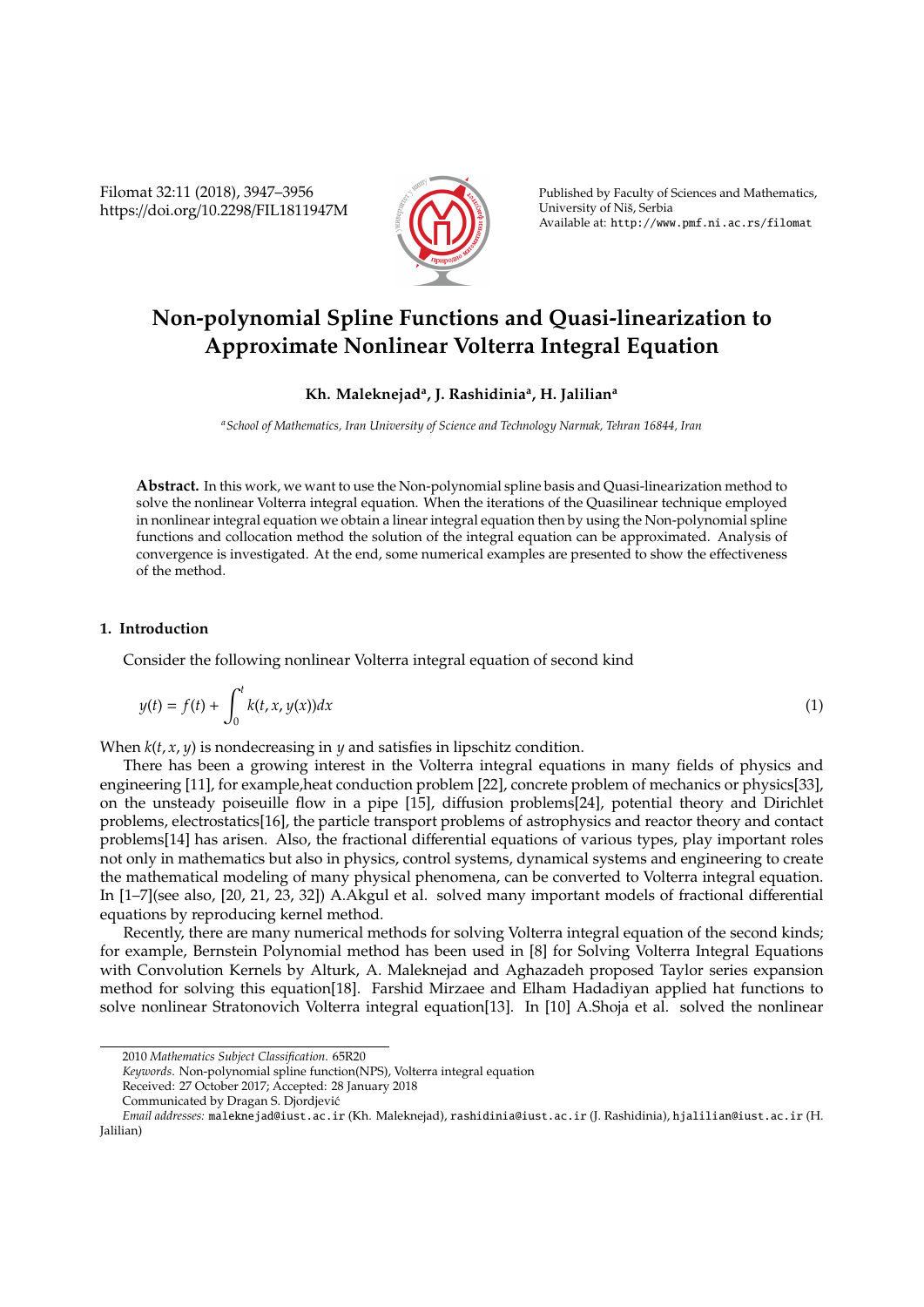Filomat 32:11 (2018), 3947–3956 https://doi.org/10.2298/FIL1811947M



Published by Faculty of Sciences and Mathematics, University of Niš, Serbia Available at: http://www.pmf.ni.ac.rs/filomat

# **Non-polynomial Spline Functions and Quasi-linearization to Approximate Nonlinear Volterra Integral Equation**

## **Kh. Maleknejad<sup>a</sup> , J. Rashidinia<sup>a</sup> , H. Jalilian<sup>a</sup>**

*<sup>a</sup>School of Mathematics, Iran University of Science and Technology Narmak, Tehran 16844, Iran*

**Abstract.** In this work, we want to use the Non-polynomial spline basis and Quasi-linearization method to solve the nonlinear Volterra integral equation. When the iterations of the Quasilinear technique employed in nonlinear integral equation we obtain a linear integral equation then by using the Non-polynomial spline functions and collocation method the solution of the integral equation can be approximated. Analysis of convergence is investigated. At the end, some numerical examples are presented to show the effectiveness of the method.

### **1. Introduction**

Consider the following nonlinear Volterra integral equation of second kind

$$
y(t) = f(t) + \int_0^t k(t, x, y(x))dx
$$
\n(1)

When  $k(t, x, y)$  is nondecreasing in  $y$  and satisfies in lipschitz condition.

There has been a growing interest in the Volterra integral equations in many fields of physics and engineering [11], for example,heat conduction problem [22], concrete problem of mechanics or physics[33], on the unsteady poiseuille flow in a pipe [15], diffusion problems[24], potential theory and Dirichlet problems, electrostatics[16], the particle transport problems of astrophysics and reactor theory and contact problems[14] has arisen. Also, the fractional differential equations of various types, play important roles not only in mathematics but also in physics, control systems, dynamical systems and engineering to create the mathematical modeling of many physical phenomena, can be converted to Volterra integral equation. In [1–7](see also, [20, 21, 23, 32]) A.Akgul et al. solved many important models of fractional differential equations by reproducing kernel method.

Recently, there are many numerical methods for solving Volterra integral equation of the second kinds; for example, Bernstein Polynomial method has been used in [8] for Solving Volterra Integral Equations with Convolution Kernels by Alturk, A. Maleknejad and Aghazadeh proposed Taylor series expansion method for solving this equation[18]. Farshid Mirzaee and Elham Hadadiyan applied hat functions to solve nonlinear Stratonovich Volterra integral equation[13]. In [10] A.Shoja et al. solved the nonlinear

<sup>2010</sup> *Mathematics Subject Classification*. 65R20

*Keywords*. Non-polynomial spline function(NPS), Volterra integral equation

Received: 27 October 2017; Accepted: 28 January 2018

Communicated by Dragan S. Djordjevic´

*Email addresses:* maleknejad@iust.ac.ir (Kh. Maleknejad), rashidinia@iust.ac.ir (J. Rashidinia), hjalilian@iust.ac.ir (H. Jalilian)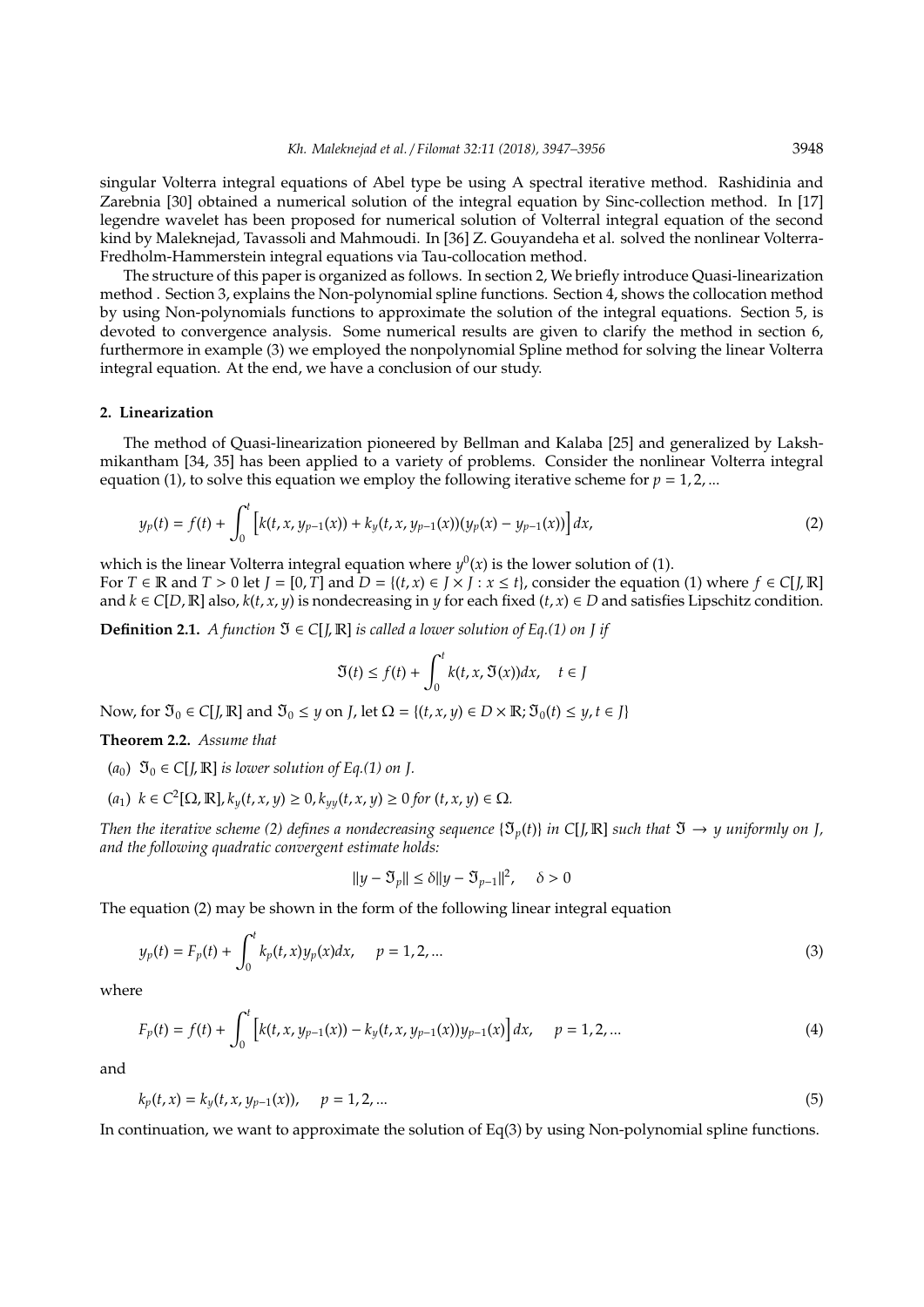singular Volterra integral equations of Abel type be using A spectral iterative method. Rashidinia and Zarebnia [30] obtained a numerical solution of the integral equation by Sinc-collection method. In [17] legendre wavelet has been proposed for numerical solution of Volterral integral equation of the second kind by Maleknejad, Tavassoli and Mahmoudi. In [36] Z. Gouyandeha et al. solved the nonlinear Volterra-Fredholm-Hammerstein integral equations via Tau-collocation method.

The structure of this paper is organized as follows. In section 2, We briefly introduce Quasi-linearization method . Section 3, explains the Non-polynomial spline functions. Section 4, shows the collocation method by using Non-polynomials functions to approximate the solution of the integral equations. Section 5, is devoted to convergence analysis. Some numerical results are given to clarify the method in section 6, furthermore in example (3) we employed the nonpolynomial Spline method for solving the linear Volterra integral equation. At the end, we have a conclusion of our study.

#### **2. Linearization**

The method of Quasi-linearization pioneered by Bellman and Kalaba [25] and generalized by Lakshmikantham [34, 35] has been applied to a variety of problems. Consider the nonlinear Volterra integral equation (1), to solve this equation we employ the following iterative scheme for  $p = 1, 2, ...$ 

$$
y_p(t) = f(t) + \int_0^t \left[ k(t, x, y_{p-1}(x)) + k_y(t, x, y_{p-1}(x)) (y_p(x) - y_{p-1}(x)) \right] dx,
$$
\n(2)

which is the linear Volterra integral equation where  $y^0(x)$  is the lower solution of (1). For  $T \in \mathbb{R}$  and  $T > 0$  let  $J = [0, T]$  and  $D = \{(t, x) \in J \times J : x \le t\}$ , consider the equation (1) where  $f \in C[J, \mathbb{R}]$ and  $k \in C[D, \mathbb{R}]$  also,  $k(t, x, y)$  is nondecreasing in *y* for each fixed  $(t, x) \in D$  and satisfies Lipschitz condition.

**Definition 2.1.** *A function*  $\mathfrak{I} \in C[I, \mathbb{R}]$  *is called a lower solution of Eq.(1) on J if* 

$$
\mathfrak{I}(t) \le f(t) + \int_0^t k(t, x, \mathfrak{I}(x)) dx, \quad t \in J
$$

Now, for  $\mathfrak{I}_0 \in C[J, \mathbb{R}]$  and  $\mathfrak{I}_0 \leq y$  on *J*, let  $\Omega = \{(t, x, y) \in D \times \mathbb{R}; \mathfrak{I}_0(t) \leq y, t \in J\}$ 

**Theorem 2.2.** *Assume that*

 $(a_0)$   $\mathfrak{I}_0 \in C[I, \mathbb{R}]$  *is lower solution of Eq.(1) on J.* 

$$
(a_1) \ \ k \in C^2[\Omega, \mathbb{R}], k_y(t, x, y) \ge 0, k_{yy}(t, x, y) \ge 0 \text{ for } (t, x, y) \in \Omega.
$$

*Then the iterative scheme (2) defines a nondecreasing sequence*  $\{\mathfrak{I}_v(t)\}\$ in C[*J*, R] *such that*  $\mathfrak{I} \to \gamma$  *uniformly on J*, *and the following quadratic convergent estimate holds:*

$$
||y - \mathfrak{I}_p|| \le \delta ||y - \mathfrak{I}_{p-1}||^2, \quad \delta > 0
$$

The equation (2) may be shown in the form of the following linear integral equation

$$
y_p(t) = F_p(t) + \int_0^t k_p(t, x) y_p(x) dx, \quad p = 1, 2, ... \tag{3}
$$

where

$$
F_p(t) = f(t) + \int_0^t \left[ k(t, x, y_{p-1}(x)) - k_y(t, x, y_{p-1}(x)) y_{p-1}(x) \right] dx, \quad p = 1, 2, ... \tag{4}
$$

and

$$
k_p(t, x) = k_y(t, x, y_{p-1}(x)), \quad p = 1, 2, ... \tag{5}
$$

In continuation, we want to approximate the solution of  $Eq(3)$  by using Non-polynomial spline functions.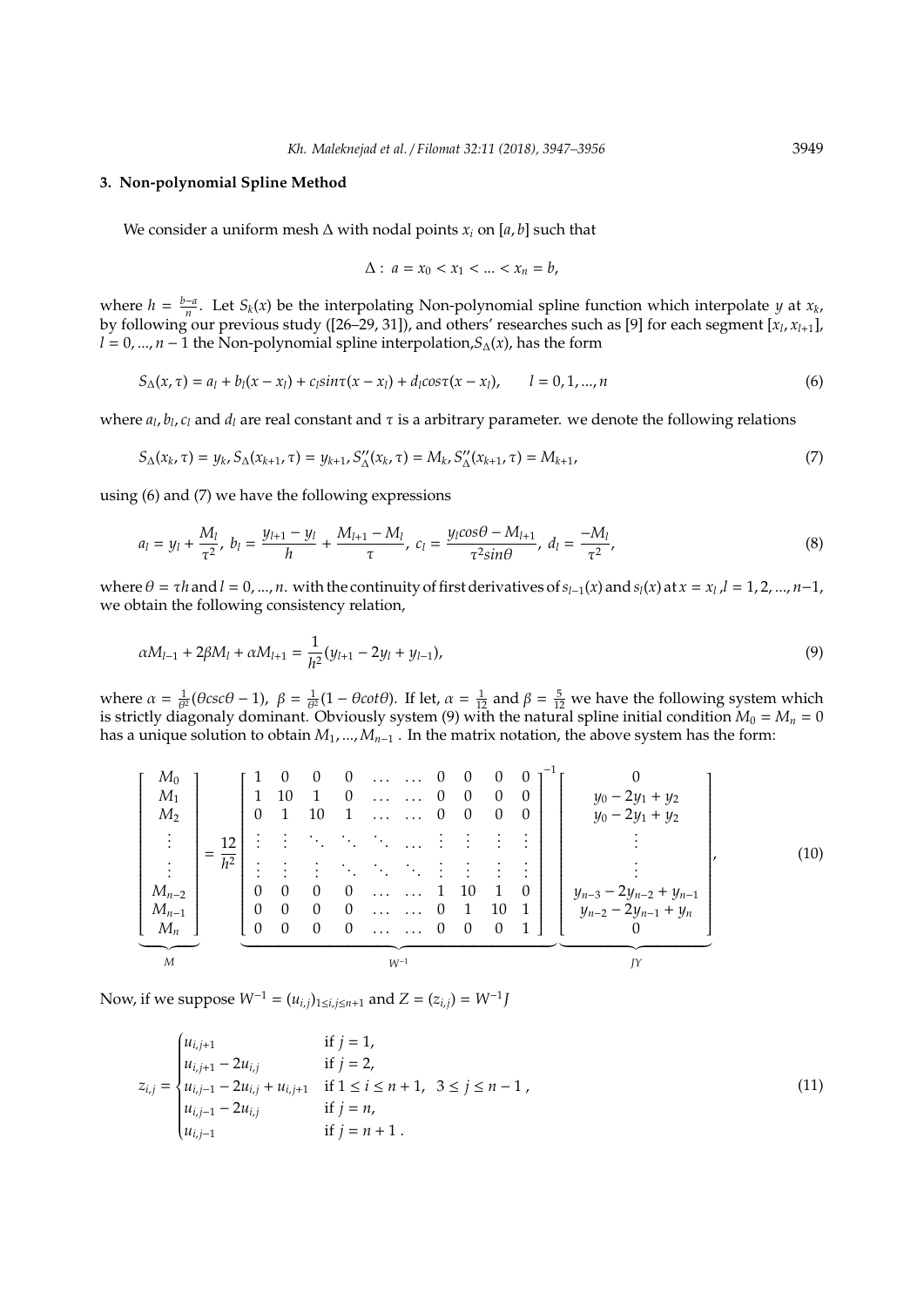#### **3. Non-polynomial Spline Method**

We consider a uniform mesh  $\Delta$  with nodal points  $x_i$  on [a, b] such that

$$
\Delta: a = x_0 < x_1 < \dots < x_n = b,
$$

where  $h = \frac{b-a}{n}$ . Let *S<sub>k</sub>*(*x*) be the interpolating Non-polynomial spline function which interpolate *y* at *x<sub>k</sub>* by following our previous study ([26–29, 31]), and others' researches such as [9] for each segment [*x<sup>l</sup>* , *x<sup>l</sup>*+1], *l* = 0, ..., *n* − 1 the Non-polynomial spline interpolation, $S_{\Delta}(x)$ , has the form

$$
S_{\Delta}(x,\tau) = a_l + b_l(x - x_l) + c_l \sin \tau (x - x_l) + d_l \cos \tau (x - x_l), \qquad l = 0, 1, ..., n
$$
\n(6)

where *a<sup>l</sup>* , *bl* , *c<sup>l</sup>* and *d<sup>l</sup>* are real constant and τ is a arbitrary parameter. we denote the following relations

$$
S_{\Delta}(x_k, \tau) = y_k, S_{\Delta}(x_{k+1}, \tau) = y_{k+1}, S_{\Delta}''(x_k, \tau) = M_k, S_{\Delta}''(x_{k+1}, \tau) = M_{k+1},
$$
\n(7)

using (6) and (7) we have the following expressions

$$
a_l = y_l + \frac{M_l}{\tau^2}, \ b_l = \frac{y_{l+1} - y_l}{h} + \frac{M_{l+1} - M_l}{\tau}, \ c_l = \frac{y_l \cos \theta - M_{l+1}}{\tau^2 \sin \theta}, \ d_l = \frac{-M_l}{\tau^2}, \tag{8}
$$

where  $\theta = \tau h$  and  $l = 0, ..., n$ . with the continuity of first derivatives of  $s_{l-1}(x)$  and  $s_l(x)$  at  $x = x_l$ ,  $l = 1, 2, ..., n-1$ , we obtain the following consistency relation,

$$
\alpha M_{l-1} + 2\beta M_l + \alpha M_{l+1} = \frac{1}{h^2} (y_{l+1} - 2y_l + y_{l-1}),
$$
\n(9)

where  $\alpha = \frac{1}{\theta^2}(\theta \csc \theta - 1)$ ,  $\beta = \frac{1}{\theta^2}(1 - \theta \cot \theta)$ . If let,  $\alpha = \frac{1}{12}$  and  $\beta = \frac{5}{12}$  we have the following system which is strictly diagonaly dominant. Obviously system (9) with the natural spline initial condition  $M_0 = M_n = 0$ has a unique solution to obtain  $M_1$ , ...,  $M_{n-1}$ . In the matrix notation, the above system has the form:

$$
\begin{bmatrix}\nM_0 \\
M_1 \\
M_2 \\
\vdots \\
M_{n-2} \\
M_{n-1} \\
M_n\n\end{bmatrix}\n=\n\begin{bmatrix}\n1 & 0 & 0 & 0 & \dots & \dots & 0 & 0 & 0 & 0 \\
1 & 10 & 1 & 0 & \dots & \dots & 0 & 0 & 0 & 0 \\
0 & 1 & 10 & 1 & \dots & \dots & 0 & 0 & 0 & 0 \\
\vdots & \vdots & \vdots & \ddots & \ddots & \ddots & \vdots & \vdots & \vdots & \vdots & \vdots \\
M_{n-2} \\
M_{n-1} \\
M_n\n\end{bmatrix}\n=\n\begin{bmatrix}\n1 & 0 & 0 & \dots & \dots & 0 & 0 & 0 & 0 \\
0 & 1 & 10 & 1 & \dots & \dots & 0 & 0 & 0 \\
\vdots & \vdots & \vdots & \ddots & \ddots & \ddots & \vdots & \vdots & \vdots & \vdots \\
0 & 0 & 0 & 0 & \dots & \dots & 1 & 10 & 1 \\
0 & 0 & 0 & 0 & \dots & \dots & 0 & 1 & 10 & 1 \\
0 & 0 & 0 & 0 & \dots & \dots & 0 & 0 & 0 & 1\n\end{bmatrix}\n\begin{bmatrix}\ny_0 - 2y_1 + y_2 \\
y_0 - 2y_1 + y_2 \\
\vdots \\
y_{n-2} - 2y_{n-2} + y_{n-1} \\
y_{n-2} - 2y_{n-1} + y_n \\
0\n\end{bmatrix}.
$$
\n(10)

Now, if we suppose  $W^{-1} = (u_{i,j})_{1 \le i,j \le n+1}$  and  $Z = (z_{i,j}) = W^{-1}J$ 

$$
z_{i,j} = \begin{cases} u_{i,j+1} & \text{if } j = 1, \\ u_{i,j+1} - 2u_{i,j} & \text{if } j = 2, \\ u_{i,j-1} - 2u_{i,j} + u_{i,j+1} & \text{if } 1 \le i \le n+1, \\ u_{i,j-1} - 2u_{i,j} & \text{if } j = n, \\ u_{i,j-1} & \text{if } j = n+1 \end{cases} \tag{11}
$$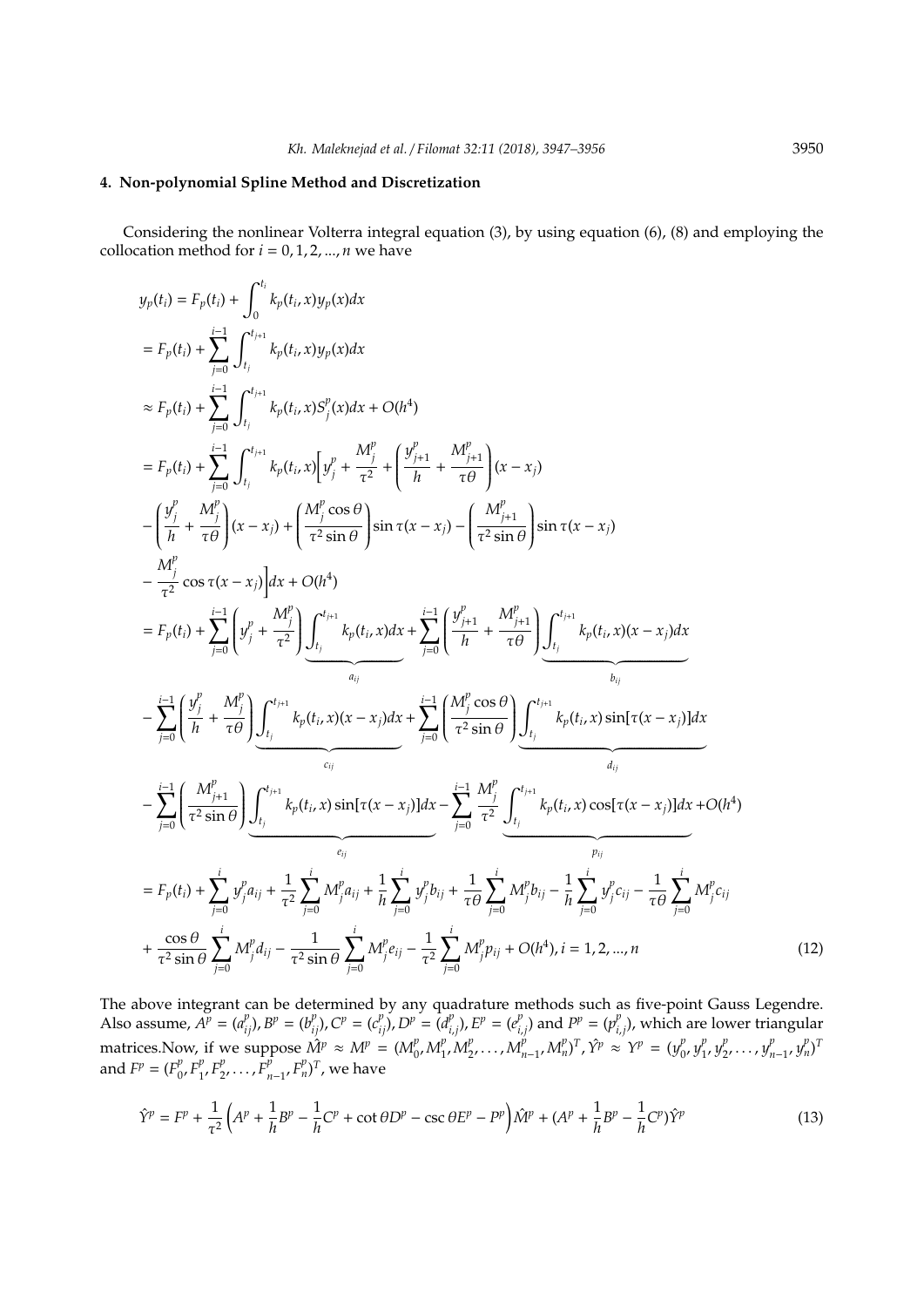#### **4. Non-polynomial Spline Method and Discretization**

Considering the nonlinear Volterra integral equation (3), by using equation (6), (8) and employing the collocation method for  $i = 0, 1, 2, ..., n$  we have

$$
y_{p}(t_{i}) = F_{p}(t_{i}) + \sum_{j=0}^{t_{i}} \int_{t_{j}}^{t_{j_{i}}} k_{p}(t_{i}, x) y_{p}(x) dx
$$
  
\n
$$
= F_{p}(t_{i}) + \sum_{j=0}^{t_{i-1}} \int_{t_{j}}^{t_{j_{i+1}}} k_{p}(t_{i}, x) y_{p}(x) dx
$$
  
\n
$$
\approx F_{p}(t_{i}) + \sum_{j=0}^{t_{i-1}} \int_{t_{j}}^{t_{j_{i+1}}} k_{p}(t_{i}, x) S_{j}^{p}(x) dx + O(h^{4})
$$
  
\n
$$
= F_{p}(t_{i}) + \sum_{j=0}^{t_{i}} \int_{t_{j}}^{t_{j_{i+1}}} k_{p}(t_{i}, x) S_{j}^{p}(x) dx + O(h^{4})
$$
  
\n
$$
- \left( \frac{y_{j}^{p}}{h} + \frac{M_{j}^{p}}{\tau \theta} \right) (x - x_{j}) + \left( \frac{M_{j}^{p} \cos \theta}{\tau^{2} \sin \theta} \right) \sin \tau (x - x_{j}) - \left( \frac{M_{j+1}^{p}}{\tau^{2} \sin \theta} \right) \sin \tau (x - x_{j})
$$
  
\n
$$
- \frac{M_{j}^{p}}{\tau^{2}} \cos \tau (x - x_{j}) dx + O(h^{4})
$$
  
\n
$$
= F_{p}(t_{i}) + \sum_{j=0}^{t_{i-1}} \left( y_{j}^{p} + \frac{M_{j}^{p}}{\tau^{2}} \right) \int_{t_{j}}^{t_{j+1}} k_{p}(t_{i}, x) dx + \sum_{j=0}^{t_{i-1}} \left( \frac{y_{j+1}^{p}}{h} + \frac{M_{j+1}^{p}}{\tau \theta} \right) \int_{t_{j}}^{t_{j+1}} k_{p}(t_{i}, x) (x - x_{j}) dx
$$
  
\n
$$
- \sum_{j=0}^{t_{i-1}} \left( \frac{y_{j}^{p}}{h} + \frac{M_{j}^{p}}{\tau \theta} \right) \int_{t_{j}}^{t_{j+1}} k_{p}(t_{i}, x) (x - x_{j}) dx + \sum_{j=0}^{t_{i-1}} \left( \frac{
$$

The above integrant can be determined by any quadrature methods such as five-point Gauss Legendre. Also assume,  $A^p = (a_{ij}^p), B^p = (b_{ij}^p), C^p = (c_{ij}^p), D^p = (d_{ij}^p)$  $\binom{p}{i,j}$ ,  $E^p = (e_{i,j}^p)$  $p_{i,j}^p$ ) and  $P^p = (p_{i,j}^p)$ *i*,*j* ), which are lower triangular matrices. Now, if we suppose  $\hat{M}^p \approx M^p = (M_p^p)$  $_{0}^{p}M_{1}^{p}$  $_{1}^{p}$ ,  $M_{2}^{p}$  $\sum_{i=1}^{p} M_{n-1}^{p} M_{n}^{p}$ <sup>T</sup>,  $\hat{Y}^{p} \approx Y^{p} = (y_{0}^{p})$  $\int_{0}^{p} y_1^{p}$  $\int_{1}^{p} y_2^p$  $y_1^p, \ldots, y_{n-1}^p, y_n^p$ <sup>T</sup> and  $F^p = (F_0^p)$  $P_0, F_1^p$  $P_1^p, F_2^p$  $F_2^p, \ldots, F_{n-1}^p, F_n^p)^T$ , we have

$$
\hat{Y}^p = F^p + \frac{1}{\tau^2} \left( A^p + \frac{1}{h} B^p - \frac{1}{h} C^p + \cot \theta D^p - \csc \theta E^p - P^p \right) \hat{M}^p + (A^p + \frac{1}{h} B^p - \frac{1}{h} C^p) \hat{Y}^p \tag{13}
$$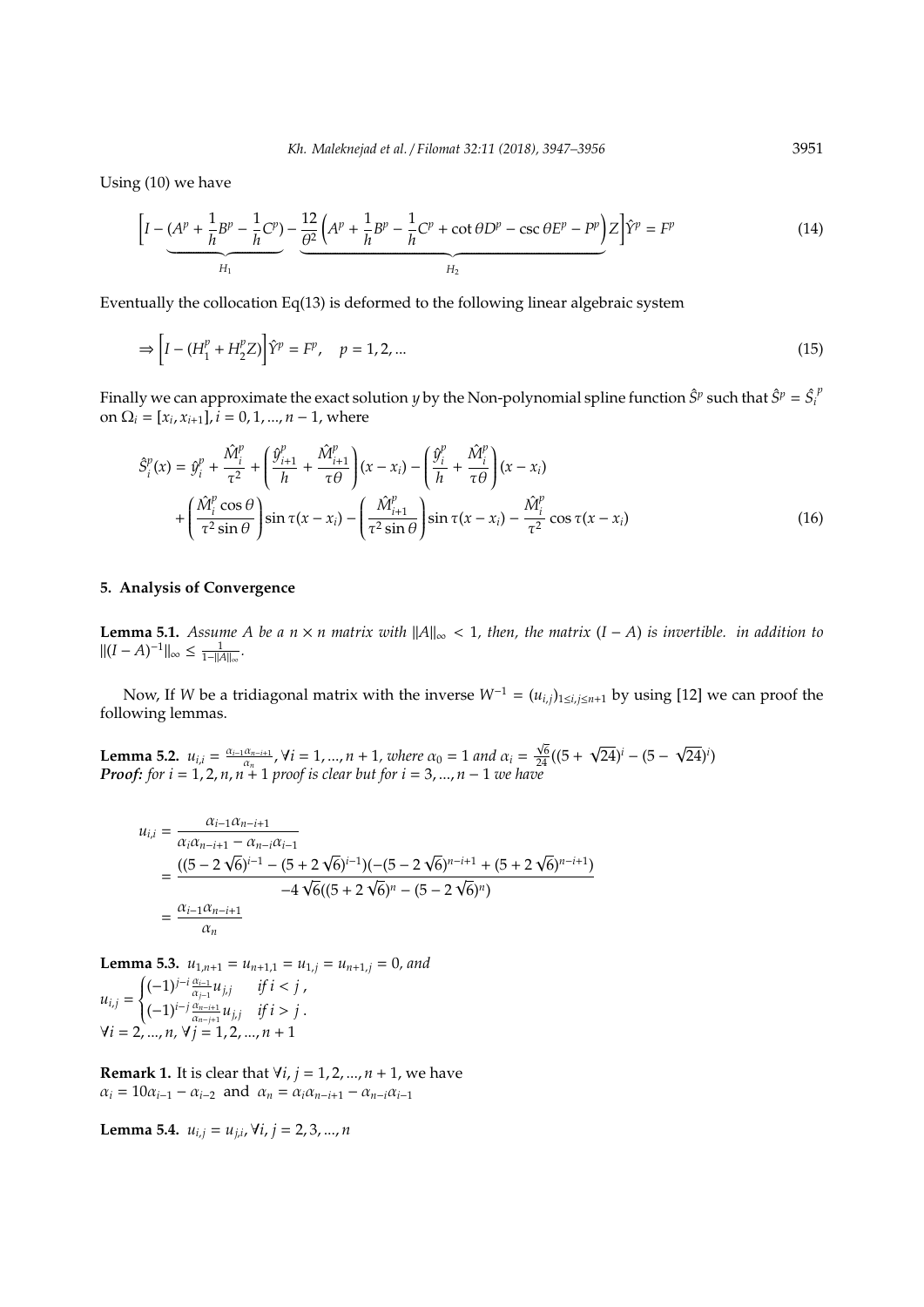Using (10) we have

$$
\left[I - \underbrace{(A^p + \frac{1}{h}B^p - \frac{1}{h}C^p)}_{H_1} - \underbrace{\frac{12}{\theta^2}\left(A^p + \frac{1}{h}B^p - \frac{1}{h}C^p + \cot\theta D^p - \csc\theta E^p - P^p\right)}_{H_2}Z\right]\hat{Y}^p = F^p\tag{14}
$$

Eventually the collocation  $Eq(13)$  is deformed to the following linear algebraic system

$$
\Rightarrow \left[ I - (H_1^p + H_2^p Z) \right] \hat{Y}^p = F^p, \quad p = 1, 2, ... \tag{15}
$$

Finally we can approximate the exact solution *y* by the Non-polynomial spline function  $\hat{S}^p$  such that  $\hat{S}^p = \hat{S}_p$ *p* on  $\Omega_i = [x_i, x_{i+1}], i = 0, 1, ..., n-1$ , where

$$
\hat{S}_i^p(x) = \hat{y}_i^p + \frac{\hat{M}_i^p}{\tau^2} + \left(\frac{\hat{y}_{i+1}^p}{h} + \frac{\hat{M}_{i+1}^p}{\tau \theta}\right)(x - x_i) - \left(\frac{\hat{y}_i^p}{h} + \frac{\hat{M}_i^p}{\tau \theta}\right)(x - x_i) \n+ \left(\frac{\hat{M}_i^p \cos \theta}{\tau^2 \sin \theta}\right) \sin \tau (x - x_i) - \left(\frac{\hat{M}_{i+1}^p}{\tau^2 \sin \theta}\right) \sin \tau (x - x_i) - \frac{\hat{M}_i^p}{\tau^2} \cos \tau (x - x_i)
$$
\n(16)

## **5. Analysis of Convergence**

**Lemma 5.1.** *Assume A be a n*  $×$  *n matrix with*  $||A||_{∞$  < 1*, then, the matrix* (*I* − *A*) *is invertible. in addition to*  $||(I - A)^{-1}||_{\infty} \le \frac{1}{1-||A||_{\infty}}.$ 

Now, If *W* be a tridiagonal matrix with the inverse  $W^{-1} = (u_{i,j})_{1 \le i,j \le n+1}$  by using [12] we can proof the following lemmas.

**Lemma 5.2.**  $u_{i,i} = \frac{\alpha_{i-1}\alpha_{n-i+1}}{\alpha_n}$  $\frac{\alpha_{n-i+1}}{\alpha_n}$ ,  $\forall i = 1, ..., n+1$ , where  $\alpha_0 = 1$  and  $\alpha_i = \frac{\sqrt{3}}{2}$  $\frac{\sqrt{6}}{24}((5 +$  $\sqrt{24}$ <sup>*j*</sup> – (5 –  $(24)^i$ *Proof: for i* = 1, 2, *n*, *n* + 1 *proof is clear but for i* = 3, ..., *n* − 1 *we have* 

$$
u_{i,i} = \frac{\alpha_{i-1}\alpha_{n-i+1}}{\alpha_i\alpha_{n-i+1} - \alpha_{n-i}\alpha_{i-1}}
$$
  
= 
$$
\frac{((5 - 2\sqrt{6})^{i-1} - (5 + 2\sqrt{6})^{i-1})(-(5 - 2\sqrt{6})^{n-i+1} + (5 + 2\sqrt{6})^{n-i+1})}{-4\sqrt{6}((5 + 2\sqrt{6})^n - (5 - 2\sqrt{6})^n)}
$$
  
= 
$$
\frac{\alpha_{i-1}\alpha_{n-i+1}}{\alpha_n}
$$

**Lemma 5.3.**  $u_{1,n+1} = u_{n+1,1} = u_{1,j} = u_{n+1,j} = 0$ , and  $u_{i,j} =$  $\left\{ \right.$  $\overline{\mathcal{K}}$  $(-1)^{j-i} \frac{\alpha_{i-1}}{\alpha_{j-1}} u_{j,j}$  *if i* < *j*,  $(-1)^{i-j} \frac{\alpha_{n-i+1}}{\alpha_{n-j+1}} u_{j,j}$  *if i* > *j*.  $\forall i = 2, ..., n, \forall j = 1, 2, ..., n + 1$ 

**Remark 1.** It is clear that  $\forall i, j = 1, 2, ..., n + 1$ , we have  $\alpha_i = 10\alpha_{i-1} - \alpha_{i-2}$  and  $\alpha_n = \alpha_i \alpha_{n-i+1} - \alpha_{n-i} \alpha_{i-1}$ 

**Lemma 5.4.**  $u_{i,j} = u_{j,i}$ ,  $\forall i, j = 2, 3, ..., n$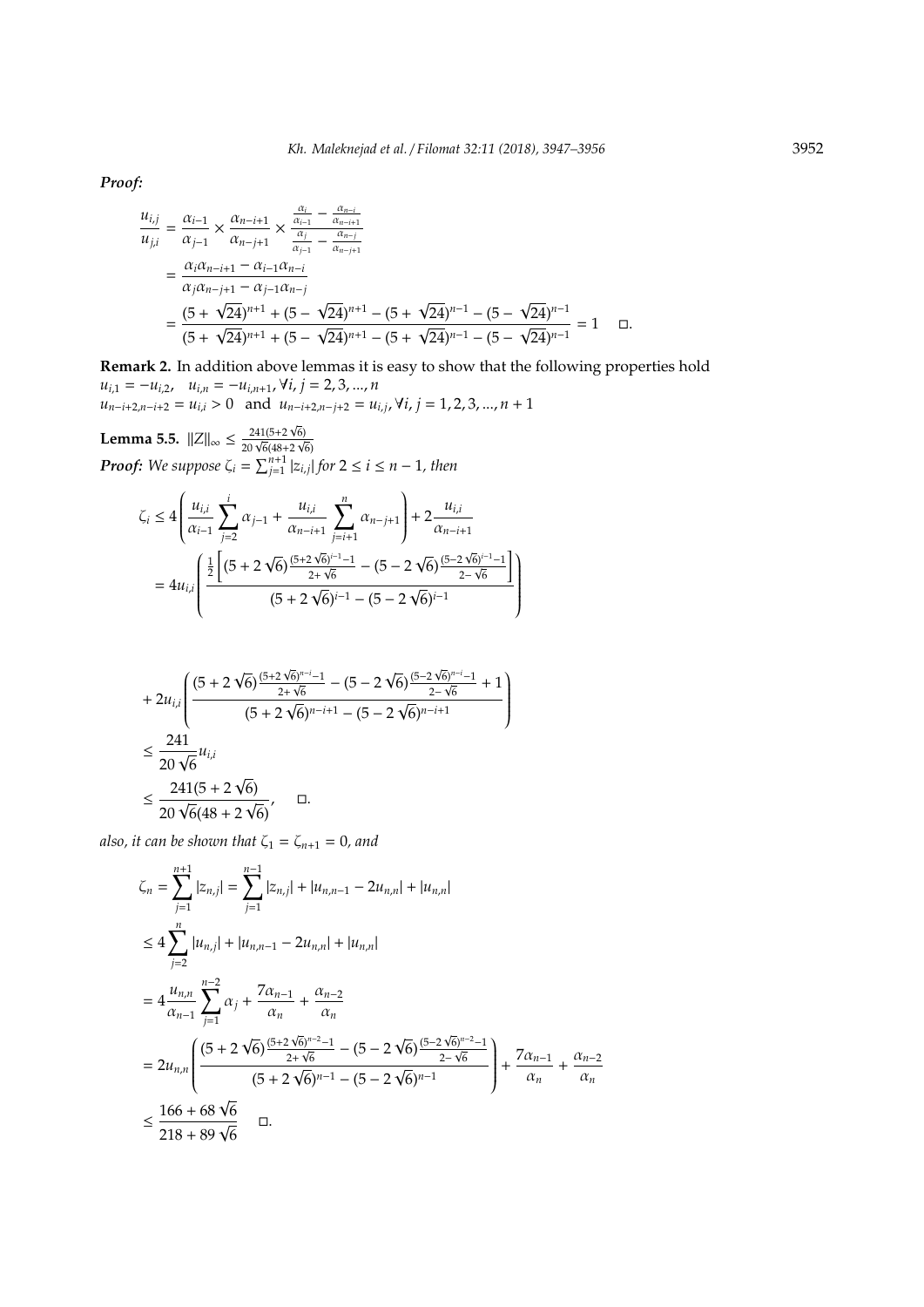*Proof:*

$$
\frac{u_{i,j}}{u_{j,i}} = \frac{\alpha_{i-1}}{\alpha_{j-1}} \times \frac{\alpha_{n-i+1}}{\alpha_{n-j+1}} \times \frac{\frac{\alpha_i}{\alpha_{i-1}} - \frac{\alpha_{n-i}}{\alpha_{n-j}}}{\frac{\alpha_j}{\alpha_{j-1}} - \frac{\alpha_{n-j}}{\alpha_{n-j+1}}}
$$
\n
$$
= \frac{\alpha_i \alpha_{n-i+1} - \alpha_{i-1} \alpha_{n-i}}{\alpha_j \alpha_{n-j+1} - \alpha_{j-1} \alpha_{n-j}}
$$
\n
$$
= \frac{(5 + \sqrt{24})^{n+1} + (5 - \sqrt{24})^{n+1} - (5 + \sqrt{24})^{n-1} - (5 - \sqrt{24})^{n-1}}{(5 + \sqrt{24})^{n+1} + (5 - \sqrt{24})^{n+1} - (5 + \sqrt{24})^{n-1} - (5 - \sqrt{24})^{n-1}} = 1 \quad \Box.
$$

**Remark 2.** In addition above lemmas it is easy to show that the following properties hold  $u_{i,1} = -u_{i,2}, \quad u_{i,n} = -u_{i,n+1}, \forall i, j = 2,3,...,n$  $u_{n-i+2,n-i+2} = u_{i,i} > 0$  and  $u_{n-i+2,n-j+2} = u_{i,j}$ ,  $\forall i, j = 1, 2, 3, ..., n+1$ 

Í

 $\begin{array}{c} \hline \end{array}$ 

**Lemma 5.5.**  $||Z||_{\infty} \le \frac{241(5+2\sqrt{2}}{20\sqrt{6}/18\sqrt{2}}$  $\frac{241(5+2\sqrt{6})}{20\sqrt{6}(48+2\sqrt{6})}$ 6) *<i>Proof:* We suppose  $\zeta_i = \sum_{j=1}^{n+1} |z_{i,j}|$  for  $2 \le i \le n-1$ *, then* 

$$
\zeta_i \le 4 \left( \frac{u_{i,i}}{\alpha_{i-1}} \sum_{j=2}^i \alpha_{j-1} + \frac{u_{i,i}}{\alpha_{n-i+1}} \sum_{j=i+1}^n \alpha_{n-j+1} \right) + 2 \frac{u_{i,i}}{\alpha_{n-i+1}}
$$

$$
= 4u_{i,i} \left( \frac{\frac{1}{2} \left[ (5 + 2\sqrt{6}) \frac{(5+2\sqrt{6})^{i-1}-1}{2+\sqrt{6}} - (5 - 2\sqrt{6}) \frac{(5-2\sqrt{6})^{i-1}-1}{2-\sqrt{6}} \right]}{(5 + 2\sqrt{6})^{i-1} - (5 - 2\sqrt{6})^{i-1}} \right)
$$

$$
\begin{aligned} &+2u_{i,i}\left(\frac{(5+2\,\sqrt{6})^{\frac{(5+2\,\sqrt{6})^{n-i}-1}{2+\sqrt{6}}}- (5-2\,\sqrt{6})^{\frac{(5-2\,\sqrt{6})^{n-i}-1}{2-\sqrt{6}}}+1}{(5+2\,\sqrt{6})^{n-i+1}-(5-2\,\sqrt{6})^{n-i+1}}\right)\\ &\leq \frac{241}{20\,\sqrt{6}}u_{i,i}\\ &\leq \frac{241(5+2\,\sqrt{6})}{20\,\sqrt{6}(48+2\,\sqrt{6})},\quad \Box.\end{aligned}
$$

*also, it can be shown that*  $\zeta_1 = \zeta_{n+1} = 0$ *, and* 

$$
\zeta_{n} = \sum_{j=1}^{n+1} |z_{n,j}| = \sum_{j=1}^{n-1} |z_{n,j}| + |u_{n,n-1} - 2u_{n,n}| + |u_{n,n}|
$$
  
\n
$$
\leq 4 \sum_{j=2}^{n} |u_{n,j}| + |u_{n,n-1} - 2u_{n,n}| + |u_{n,n}|
$$
  
\n
$$
= 4 \frac{u_{n,n}}{\alpha_{n-1}} \sum_{j=1}^{n-2} \alpha_j + \frac{7\alpha_{n-1}}{\alpha_n} + \frac{\alpha_{n-2}}{\alpha_n}
$$
  
\n
$$
= 2u_{n,n} \left( \frac{(5 + 2\sqrt{6})^{\frac{(5+2\sqrt{6})^{n-2}-1}{2+\sqrt{6}}} - (5 - 2\sqrt{6})^{\frac{(5-2\sqrt{6})^{n-2}-1}{2-\sqrt{6}}} }{(5 + 2\sqrt{6})^{n-1} - (5 - 2\sqrt{6})^{n-1}} \right) + \frac{7\alpha_{n-1}}{\alpha_n} + \frac{\alpha_{n-2}}{\alpha_n}
$$
  
\n
$$
\leq \frac{166 + 68\sqrt{6}}{218 + 89\sqrt{6}} \qquad \Box.
$$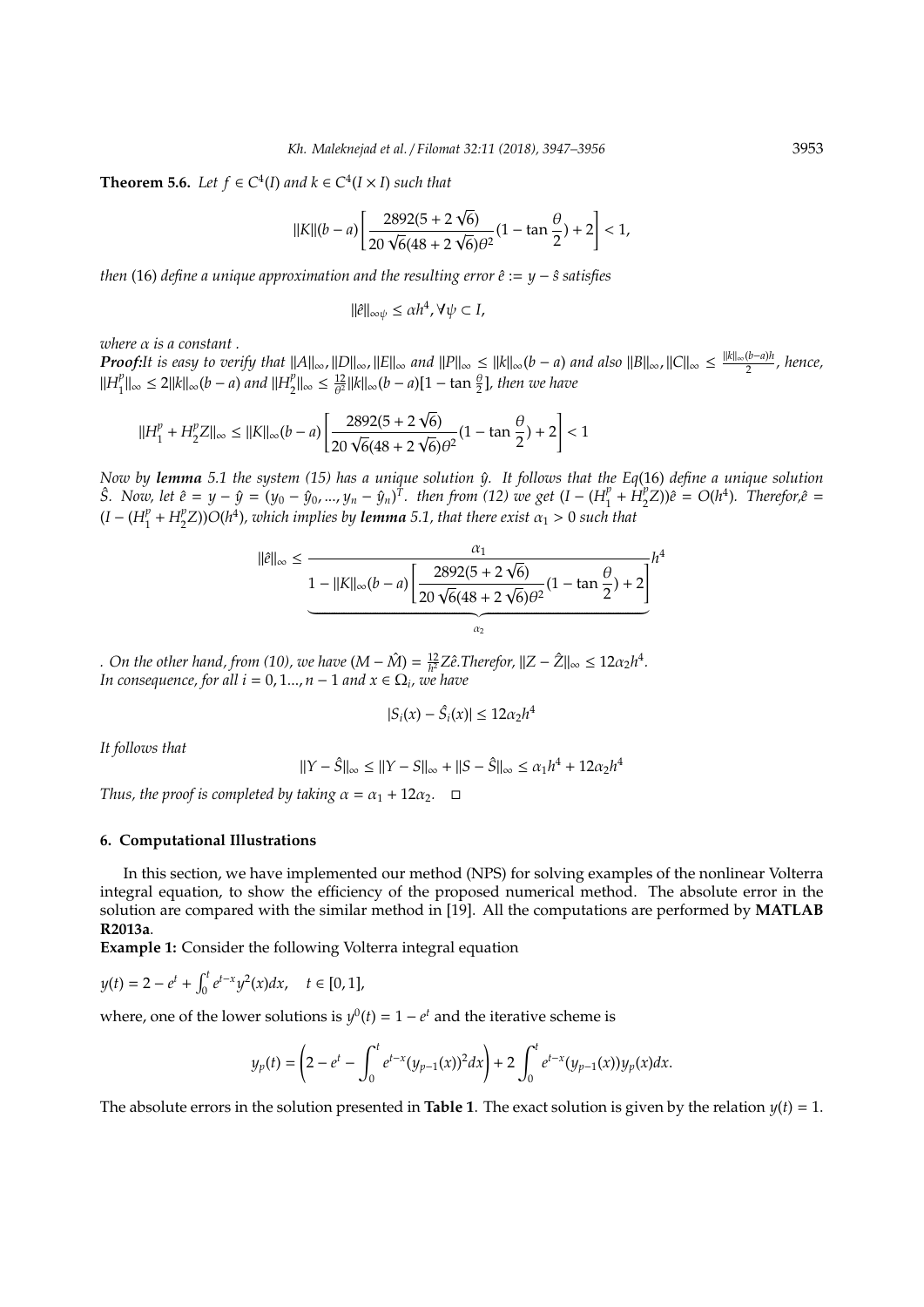**Theorem 5.6.** *Let*  $f \in C^4(I)$  *and*  $k \in C^4(I \times I)$  *such that* 

$$
||K||(b-a)\left[\frac{2892(5+2\sqrt{6})}{20\sqrt{6}(48+2\sqrt{6})\theta^2}(1-\tan\frac{\theta}{2})+2\right]<1,
$$

*then* (16) *define a unique approximation and the resulting error*  $ê := y − \hat{s}$  *satisfies* 

$$
\|\hat{e}\|_{\infty\psi} \le \alpha h^4, \forall \psi \subset I,
$$

*where* α *is a constant .*

*Proof:It is easy to verify that*  $||A||_{\infty}$ ,  $||D||_{\infty}$ ,  $||E||_{\infty}$  *and*  $||P||_{\infty} \leq ||k||_{\infty}$ (*b* − *a*) and also  $||B||_{\infty}$ ,  $||C||_{\infty} \leq \frac{||k||_{\infty}(b-a)h}{2}$ 2 *, hence,*  $\Vert H_1^p$  $_{1}^{p}$ ||∞ ≤ 2||k||∞(*b* – *a*) and ||H<sub>2</sub><sup>*p*</sup></sup>  $\frac{p}{2}$ ||∞ ≤  $\frac{12}{\theta^2}$ ||k||∞ $(b - a)$ [1 – tan  $\frac{\theta}{2}$ ], then we have

$$
||H_1^p + H_2^p Z||_{\infty} \le ||K||_{\infty} (b - a) \left[ \frac{2892(5 + 2\sqrt{6})}{20\sqrt{6}(48 + 2\sqrt{6})\theta^2} (1 - \tan\frac{\theta}{2}) + 2 \right] < 1
$$

*Now by lemma* 5.1 the system (15) has a unique solution  $\hat{y}$ . It follows that the Eq(16) define a unique solution *S. Now, let*  $\hat{e} = y - \hat{y} = (y_0 - \hat{y}_0, ..., y_n - \hat{y}_n)^T$ . then from (12) we get  $(I - (H_1^p))$  $\mu_1^p + H_2^p$  $\binom{p}{2}Z$ )) $\hat{e} = O(h^4)$ . Therefor, $\hat{e} =$  $(I - (H_1^p)$  $_{1}^{p}$  +  $H_{2}^{p}$  $\binom{p}{2}$ ))O(h<sup>4</sup>), which implies by **lemma** 5.1, that there exist  $\alpha_1 > 0$  such that

$$
\|\hat{e}\|_{\infty} \le \frac{\alpha_1}{1 - \|K\|_{\infty} (b - a) \left[ \frac{2892(5 + 2\sqrt{6})}{20\sqrt{6}(48 + 2\sqrt{6})\theta^2} (1 - \tan\frac{\theta}{2}) + 2 \right]} h^4
$$

 $\alpha$ 

*.* On the other hand, from (10), we have  $(M - \hat{M}) = \frac{12}{h^2} Z \hat{e}$ . Therefor,  $||Z - \hat{Z}||_{\infty} \le 12\alpha_2 h^4$ . *In consequence, for all i* = 0, 1..., *n* – 1 *and*  $x \in \Omega$ <sub>*i*</sub>, *we have* 

$$
|S_i(x) - \hat{S}_i(x)| \leq 12\alpha_2 h^4
$$

*It follows that*

$$
||Y - \hat{S}||_{\infty} \le ||Y - S||_{\infty} + ||S - \hat{S}||_{\infty} \le \alpha_1 h^4 + 12\alpha_2 h^4
$$

*Thus, the proof is completed by taking*  $\alpha = \alpha_1 + 12\alpha_2$ .  $\Box$ 

#### **6. Computational Illustrations**

In this section, we have implemented our method (NPS) for solving examples of the nonlinear Volterra integral equation, to show the efficiency of the proposed numerical method. The absolute error in the solution are compared with the similar method in [19]. All the computations are performed by **MATLAB R2013a**.

**Example 1:** Consider the following Volterra integral equation

$$
y(t) = 2 - e^t + \int_0^t e^{t-x} y^2(x) dx, \quad t \in [0, 1],
$$

where, one of the lower solutions is  $y^0(t) = 1 - e^t$  and the iterative scheme is

$$
y_p(t) = \left(2 - e^t - \int_0^t e^{t-x} (y_{p-1}(x))^2 dx\right) + 2 \int_0^t e^{t-x} (y_{p-1}(x)) y_p(x) dx.
$$

The absolute errors in the solution presented in **Table 1**. The exact solution is given by the relation  $y(t) = 1$ .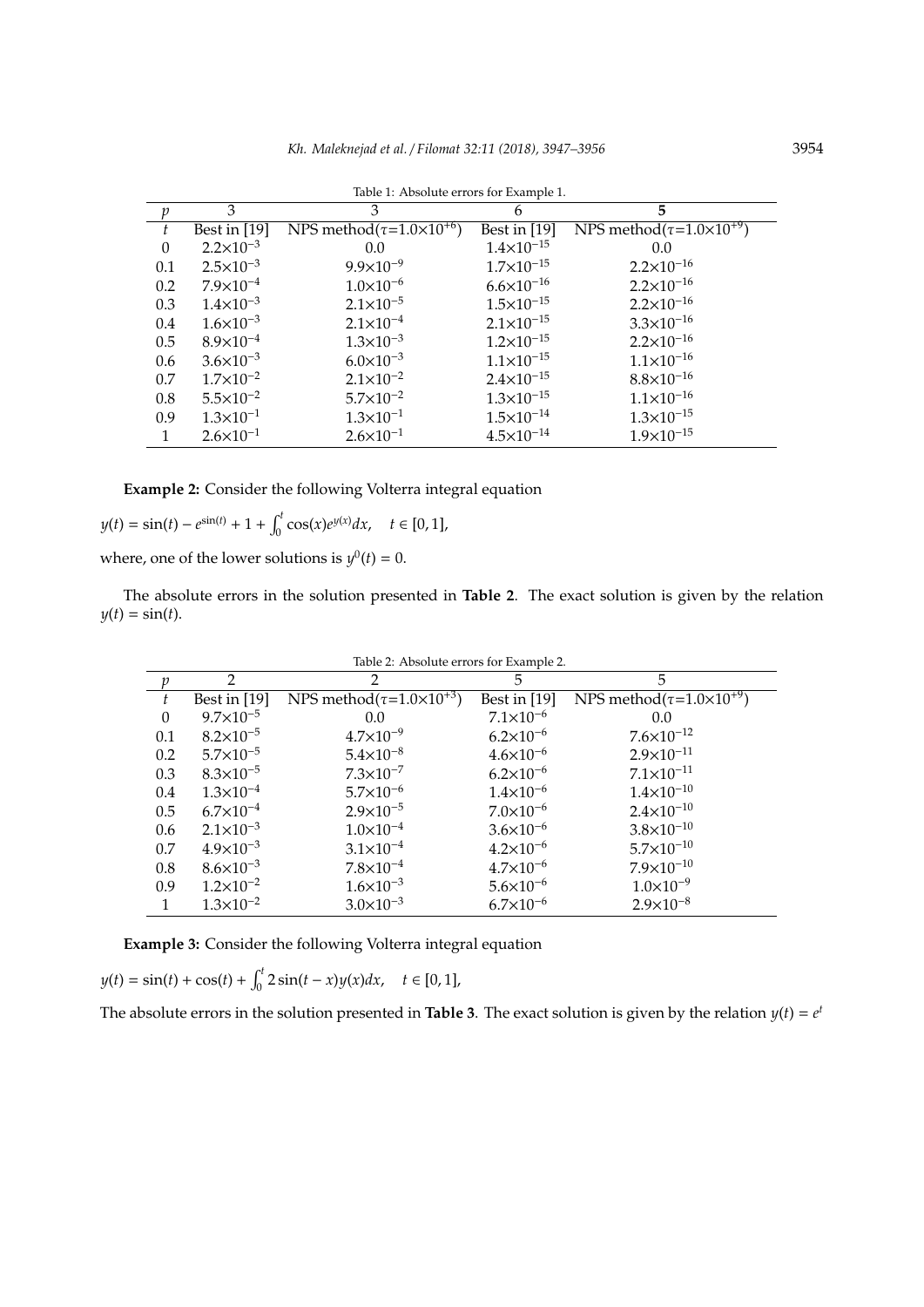|                  |                      |                                      | $\mathbf{I}$          |                                            |
|------------------|----------------------|--------------------------------------|-----------------------|--------------------------------------------|
| $\boldsymbol{p}$ | 3                    | 3                                    | 6                     | 5                                          |
| t                | Best in $[19]$       | NPS method $(\tau=1.0\times10^{+6})$ | Best in $[19]$        | NPS method( $\tau$ =1.0×10 <sup>+9</sup> ) |
| $\boldsymbol{0}$ | $2.2 \times 10^{-3}$ | 0.0                                  | $1.4 \times 10^{-15}$ | 0.0                                        |
| 0.1              | $2.5 \times 10^{-3}$ | $9.9 \times 10^{-9}$                 | $1.7 \times 10^{-15}$ | $2.2 \times 10^{-16}$                      |
| 0.2              | $7.9\times10^{-4}$   | $1.0\times10^{-6}$                   | $6.6 \times 10^{-16}$ | $2.2 \times 10^{-16}$                      |
| 0.3              | $1.4 \times 10^{-3}$ | $2.1 \times 10^{-5}$                 | $1.5 \times 10^{-15}$ | $2.2 \times 10^{-16}$                      |
| 0.4              | $1.6 \times 10^{-3}$ | $2.1 \times 10^{-4}$                 | $2.1 \times 10^{-15}$ | $3.3 \times 10^{-16}$                      |
| 0.5              | $8.9\times10^{-4}$   | $1.3 \times 10^{-3}$                 | $1.2 \times 10^{-15}$ | $2.2 \times 10^{-16}$                      |
| 0.6              | $3.6 \times 10^{-3}$ | $6.0 \times 10^{-3}$                 | $1.1 \times 10^{-15}$ | $1.1 \times 10^{-16}$                      |
| 0.7              | $1.7\times10^{-2}$   | $2.1 \times 10^{-2}$                 | $2.4 \times 10^{-15}$ | $8.8\times10^{-16}$                        |
| 0.8              | $5.5 \times 10^{-2}$ | $5.7 \times 10^{-2}$                 | $1.3 \times 10^{-15}$ | $1.1 \times 10^{-16}$                      |
| 0.9              | $1.3 \times 10^{-1}$ | $1.3 \times 10^{-1}$                 | $1.5 \times 10^{-14}$ | $1.3 \times 10^{-15}$                      |
| 1                | $2.6 \times 10^{-1}$ | $2.6 \times 10^{-1}$                 | $4.5 \times 10^{-14}$ | $1.9 \times 10^{-15}$                      |

Table 1: Absolute errors for Example 1.

**Example 2:** Consider the following Volterra integral equation

 $y(t) = \sin(t) - e^{\sin(t)} + 1 + \int_0^t \cos(x) e^{y(x)} dx, \quad t \in [0, 1],$ 

where, one of the lower solutions is  $y^0(t) = 0$ .

The absolute errors in the solution presented in **Table 2**. The exact solution is given by the relation  $y(t) = \sin(t)$ .

| Table 2: Absolute errors for Example 2. |                      |                                      |                      |                                            |  |  |  |
|-----------------------------------------|----------------------|--------------------------------------|----------------------|--------------------------------------------|--|--|--|
| $\mathcal{V}$                           | $\mathcal{P}$        | $\mathcal{P}$                        | 5.                   | 5                                          |  |  |  |
| ŧ                                       | Best in $[19]$       | NPS method $(\tau=1.0\times10^{+3})$ | Best in $[19]$       | NPS method( $\tau$ =1.0×10 <sup>+9</sup> ) |  |  |  |
| $\theta$                                | $9.7 \times 10^{-5}$ | 0.0                                  | $7.1 \times 10^{-6}$ | 0.0                                        |  |  |  |
| 0.1                                     | $8.2 \times 10^{-5}$ | $4.7 \times 10^{-9}$                 | $6.2 \times 10^{-6}$ | $7.6 \times 10^{-12}$                      |  |  |  |
| 0.2                                     | $5.7 \times 10^{-5}$ | $5.4 \times 10^{-8}$                 | $4.6 \times 10^{-6}$ | $2.9 \times 10^{-11}$                      |  |  |  |
| 0.3                                     | $8.3 \times 10^{-5}$ | $7.3 \times 10^{-7}$                 | $6.2 \times 10^{-6}$ | $7.1 \times 10^{-11}$                      |  |  |  |
| 0.4                                     | $1.3 \times 10^{-4}$ | $5.7\times10^{-6}$                   | $1.4 \times 10^{-6}$ | $1.4 \times 10^{-10}$                      |  |  |  |
| 0.5                                     | $6.7\times10^{-4}$   | $2.9 \times 10^{-5}$                 | $7.0\times10^{-6}$   | $2.4 \times 10^{-10}$                      |  |  |  |
| 0.6                                     | $2.1 \times 10^{-3}$ | $1.0\times10^{-4}$                   | $3.6 \times 10^{-6}$ | $3.8 \times 10^{-10}$                      |  |  |  |
| 0.7                                     | $4.9 \times 10^{-3}$ | $3.1 \times 10^{-4}$                 | $4.2 \times 10^{-6}$ | $5.7\times10^{-10}$                        |  |  |  |
| 0.8                                     | $8.6 \times 10^{-3}$ | $7.8 \times 10^{-4}$                 | $4.7 \times 10^{-6}$ | $7.9 \times 10^{-10}$                      |  |  |  |
| 0.9                                     | $1.2 \times 10^{-2}$ | $1.6 \times 10^{-3}$                 | $5.6 \times 10^{-6}$ | $1.0 \times 10^{-9}$                       |  |  |  |
|                                         | $1.3 \times 10^{-2}$ | $3.0 \times 10^{-3}$                 | $6.7\times10^{-6}$   | $2.9 \times 10^{-8}$                       |  |  |  |

**Example 3:** Consider the following Volterra integral equation

$$
y(t) = \sin(t) + \cos(t) + \int_0^t 2\sin(t - x)y(x)dx, \quad t \in [0, 1],
$$

The absolute errors in the solution presented in **Table 3**. The exact solution is given by the relation  $y(t) = e^t$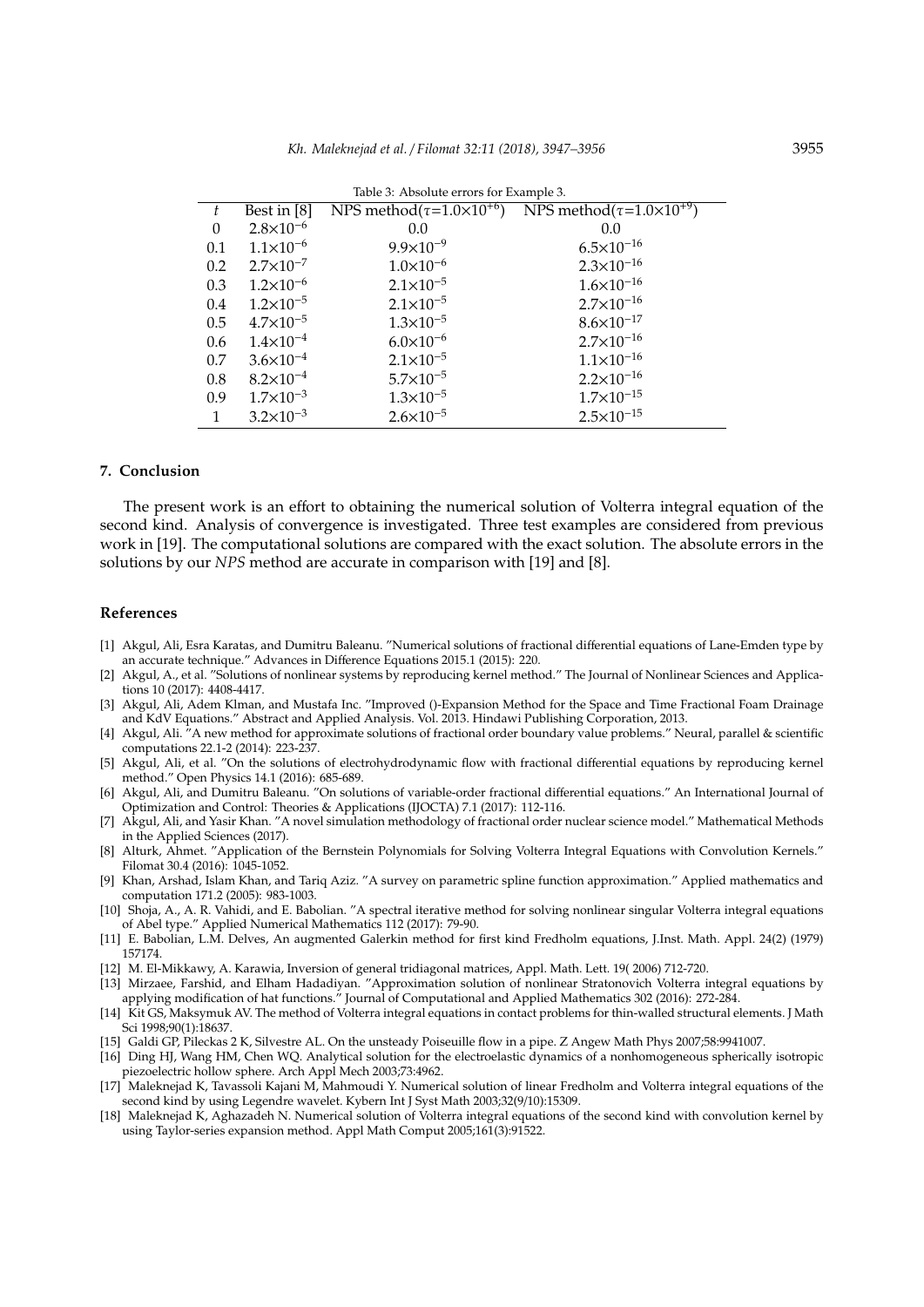| NPS method( $\tau$ =1.0×10 <sup>+9</sup> )<br>NPS method( $\tau$ =1.0×10 <sup>+6</sup> )<br>Best in [8]<br>t |  |
|--------------------------------------------------------------------------------------------------------------|--|
|                                                                                                              |  |
| $2.8 \times 10^{-6}$<br>$\theta$<br>0.0<br>0.0                                                               |  |
| $6.5 \times 10^{-16}$<br>$1.1 \times 10^{-6}$<br>$9.9 \times 10^{-9}$<br>0.1                                 |  |
| $2.3 \times 10^{-16}$<br>$1.0\times10^{-6}$<br>$2.7 \times 10^{-7}$<br>0.2                                   |  |
| $1.6 \times 10^{-16}$<br>$1.2 \times 10^{-6}$<br>$2.1 \times 10^{-5}$<br>0.3                                 |  |
| $2.7\times10^{-16}$<br>$1.2 \times 10^{-5}$<br>$2.1 \times 10^{-5}$<br>0.4                                   |  |
| $8.6 \times 10^{-17}$<br>$4.7\times10^{-5}$<br>$1.3 \times 10^{-5}$<br>0.5                                   |  |
| $2.7 \times 10^{-16}$<br>$6.0 \times 10^{-6}$<br>$1.4 \times 10^{-4}$<br>0.6                                 |  |
| $1.1 \times 10^{-16}$<br>$2.1 \times 10^{-5}$<br>$3.6 \times 10^{-4}$<br>0.7                                 |  |
| $2.2 \times 10^{-16}$<br>$5.7 \times 10^{-5}$<br>$8.2 \times 10^{-4}$<br>0.8                                 |  |
| $1.7 \times 10^{-15}$<br>$1.3 \times 10^{-5}$<br>$1.7 \times 10^{-3}$<br>0.9                                 |  |
| $2.5 \times 10^{-15}$<br>$3.2 \times 10^{-3}$<br>$2.6 \times 10^{-5}$                                        |  |

Table 3: Absolute errors for Example 3.

#### **7. Conclusion**

The present work is an effort to obtaining the numerical solution of Volterra integral equation of the second kind. Analysis of convergence is investigated. Three test examples are considered from previous work in [19]. The computational solutions are compared with the exact solution. The absolute errors in the solutions by our *NPS* method are accurate in comparison with [19] and [8].

#### **References**

- [1] Akgul, Ali, Esra Karatas, and Dumitru Baleanu. "Numerical solutions of fractional differential equations of Lane-Emden type by an accurate technique." Advances in Difference Equations 2015.1 (2015): 220.
- [2] Akgul, A., et al. "Solutions of nonlinear systems by reproducing kernel method." The Journal of Nonlinear Sciences and Applications 10 (2017): 4408-4417.
- [3] Akgul, Ali, Adem Klman, and Mustafa Inc. "Improved ()-Expansion Method for the Space and Time Fractional Foam Drainage and KdV Equations." Abstract and Applied Analysis. Vol. 2013. Hindawi Publishing Corporation, 2013.
- [4] Akgul, Ali. "A new method for approximate solutions of fractional order boundary value problems." Neural, parallel & scientific computations 22.1-2 (2014): 223-237.
- [5] Akgul, Ali, et al. "On the solutions of electrohydrodynamic flow with fractional differential equations by reproducing kernel method." Open Physics 14.1 (2016): 685-689.
- [6] Akgul, Ali, and Dumitru Baleanu. "On solutions of variable-order fractional differential equations." An International Journal of Optimization and Control: Theories & Applications (IJOCTA) 7.1 (2017): 112-116.
- [7] Akgul, Ali, and Yasir Khan. "A novel simulation methodology of fractional order nuclear science model." Mathematical Methods in the Applied Sciences (2017).
- [8] Alturk, Ahmet. "Application of the Bernstein Polynomials for Solving Volterra Integral Equations with Convolution Kernels." Filomat 30.4 (2016): 1045-1052.
- [9] Khan, Arshad, Islam Khan, and Tariq Aziz. "A survey on parametric spline function approximation." Applied mathematics and computation 171.2 (2005): 983-1003.
- [10] Shoja, A., A. R. Vahidi, and E. Babolian. "A spectral iterative method for solving nonlinear singular Volterra integral equations of Abel type." Applied Numerical Mathematics 112 (2017): 79-90.
- [11] E. Babolian, L.M. Delves, An augmented Galerkin method for first kind Fredholm equations, J.Inst. Math. Appl. 24(2) (1979) 157174.
- [12] M. El-Mikkawy, A. Karawia, Inversion of general tridiagonal matrices, Appl. Math. Lett. 19( 2006) 712-720.
- [13] Mirzaee, Farshid, and Elham Hadadiyan. "Approximation solution of nonlinear Stratonovich Volterra integral equations by applying modification of hat functions." Journal of Computational and Applied Mathematics 302 (2016): 272-284.
- [14] Kit GS, Maksymuk AV. The method of Volterra integral equations in contact problems for thin-walled structural elements. J Math Sci 1998;90(1):18637.
- [15] Galdi GP, Pileckas 2 K, Silvestre AL. On the unsteady Poiseuille flow in a pipe. Z Angew Math Phys 2007;58:9941007.
- [16] Ding HJ, Wang HM, Chen WQ. Analytical solution for the electroelastic dynamics of a nonhomogeneous spherically isotropic piezoelectric hollow sphere. Arch Appl Mech 2003;73:4962.
- [17] Maleknejad K, Tavassoli Kajani M, Mahmoudi Y. Numerical solution of linear Fredholm and Volterra integral equations of the second kind by using Legendre wavelet. Kybern Int J Syst Math 2003;32(9/10):15309.
- [18] Maleknejad K, Aghazadeh N. Numerical solution of Volterra integral equations of the second kind with convolution kernel by using Taylor-series expansion method. Appl Math Comput 2005;161(3):91522.